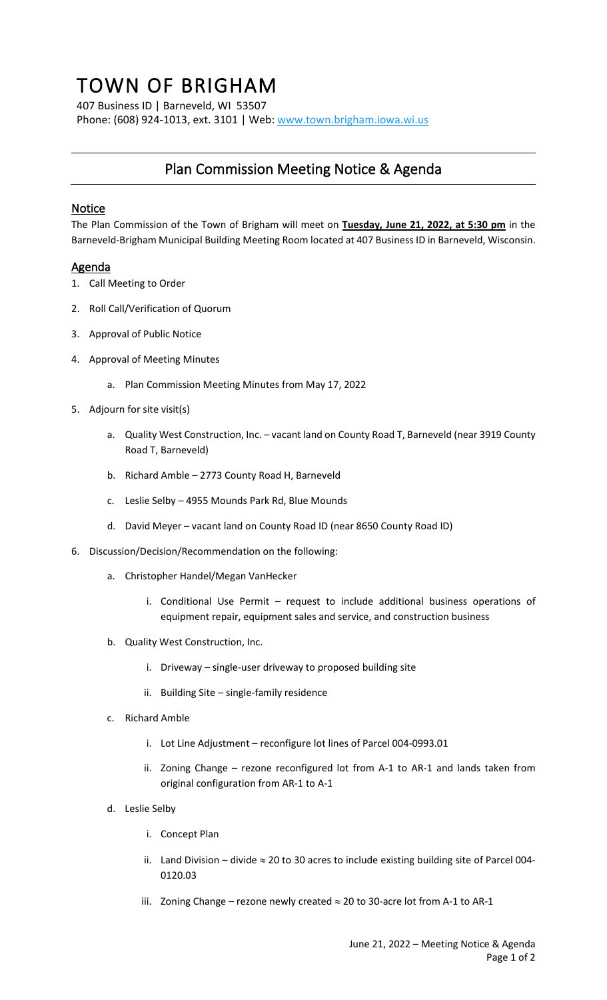## TOWN OF BRIGHAM

407 Business ID | Barneveld, WI 53507 Phone: (608) 924-1013, ext. 3101 | Web[: www.town.brigham.iowa.wi.us](http://www.town.brigham.iowa.wi.us/)

## Plan Commission Meeting Notice & Agenda

## Notice

The Plan Commission of the Town of Brigham will meet on **Tuesday, June 21, 2022, at 5:30 pm** in the Barneveld-Brigham Municipal Building Meeting Room located at 407 Business ID in Barneveld, Wisconsin.

## **Agenda**

- 1. Call Meeting to Order
- 2. Roll Call/Verification of Quorum
- 3. Approval of Public Notice
- 4. Approval of Meeting Minutes
	- a. Plan Commission Meeting Minutes from May 17, 2022
- 5. Adjourn for site visit(s)
	- a. Quality West Construction, Inc. vacant land on County Road T, Barneveld (near 3919 County Road T, Barneveld)
	- b. Richard Amble 2773 County Road H, Barneveld
	- c. Leslie Selby 4955 Mounds Park Rd, Blue Mounds
	- d. David Meyer vacant land on County Road ID (near 8650 County Road ID)
- 6. Discussion/Decision/Recommendation on the following:
	- a. Christopher Handel/Megan VanHecker
		- i. Conditional Use Permit request to include additional business operations of equipment repair, equipment sales and service, and construction business
	- b. Quality West Construction, Inc.
		- i. Driveway single-user driveway to proposed building site
		- ii. Building Site single-family residence
	- c. Richard Amble
		- i. Lot Line Adjustment reconfigure lot lines of Parcel 004-0993.01
		- ii. Zoning Change rezone reconfigured lot from A-1 to AR-1 and lands taken from original configuration from AR-1 to A-1
	- d. Leslie Selby
		- i. Concept Plan
		- ii. Land Division divide  $\approx$  20 to 30 acres to include existing building site of Parcel 004-0120.03
		- iii. Zoning Change rezone newly created  $\approx$  20 to 30-acre lot from A-1 to AR-1